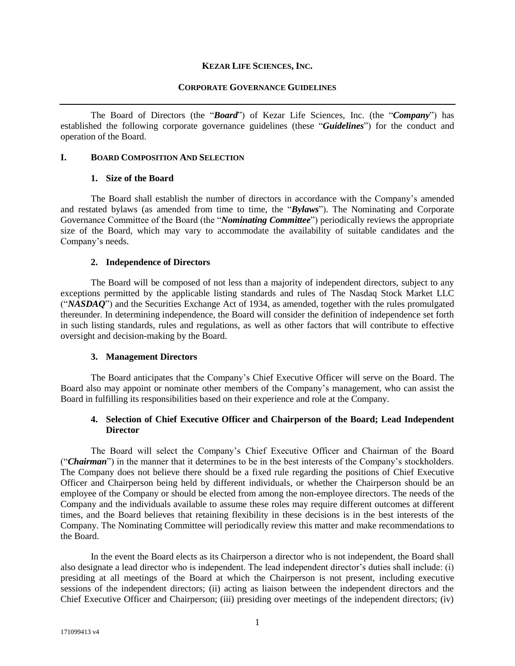#### **KEZAR LIFE SCIENCES, INC.**

#### **CORPORATE GOVERNANCE GUIDELINES**

The Board of Directors (the "*Board*") of Kezar Life Sciences, Inc. (the "*Company*") has established the following corporate governance guidelines (these "*Guidelines*") for the conduct and operation of the Board.

#### **I. BOARD COMPOSITION AND SELECTION**

### **1. Size of the Board**

The Board shall establish the number of directors in accordance with the Company's amended and restated bylaws (as amended from time to time, the "*Bylaws*"). The Nominating and Corporate Governance Committee of the Board (the "*Nominating Committee*") periodically reviews the appropriate size of the Board, which may vary to accommodate the availability of suitable candidates and the Company's needs.

### **2. Independence of Directors**

The Board will be composed of not less than a majority of independent directors, subject to any exceptions permitted by the applicable listing standards and rules of The Nasdaq Stock Market LLC ("*NASDAQ*") and the Securities Exchange Act of 1934, as amended, together with the rules promulgated thereunder. In determining independence, the Board will consider the definition of independence set forth in such listing standards, rules and regulations, as well as other factors that will contribute to effective oversight and decision-making by the Board.

#### **3. Management Directors**

The Board anticipates that the Company's Chief Executive Officer will serve on the Board. The Board also may appoint or nominate other members of the Company's management, who can assist the Board in fulfilling its responsibilities based on their experience and role at the Company.

# **4. Selection of Chief Executive Officer and Chairperson of the Board; Lead Independent Director**

The Board will select the Company's Chief Executive Officer and Chairman of the Board ("*Chairman*") in the manner that it determines to be in the best interests of the Company's stockholders. The Company does not believe there should be a fixed rule regarding the positions of Chief Executive Officer and Chairperson being held by different individuals, or whether the Chairperson should be an employee of the Company or should be elected from among the non-employee directors. The needs of the Company and the individuals available to assume these roles may require different outcomes at different times, and the Board believes that retaining flexibility in these decisions is in the best interests of the Company. The Nominating Committee will periodically review this matter and make recommendations to the Board.

In the event the Board elects as its Chairperson a director who is not independent, the Board shall also designate a lead director who is independent. The lead independent director's duties shall include: (i) presiding at all meetings of the Board at which the Chairperson is not present, including executive sessions of the independent directors; (ii) acting as liaison between the independent directors and the Chief Executive Officer and Chairperson; (iii) presiding over meetings of the independent directors; (iv)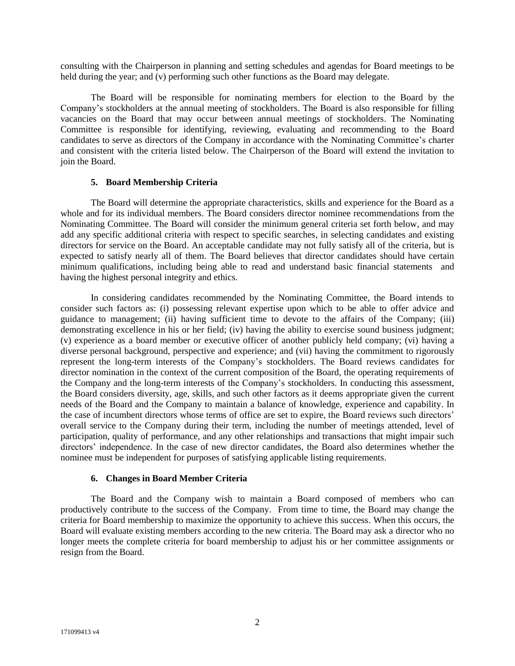consulting with the Chairperson in planning and setting schedules and agendas for Board meetings to be held during the year; and (v) performing such other functions as the Board may delegate.

The Board will be responsible for nominating members for election to the Board by the Company's stockholders at the annual meeting of stockholders. The Board is also responsible for filling vacancies on the Board that may occur between annual meetings of stockholders. The Nominating Committee is responsible for identifying, reviewing, evaluating and recommending to the Board candidates to serve as directors of the Company in accordance with the Nominating Committee's charter and consistent with the criteria listed below. The Chairperson of the Board will extend the invitation to join the Board.

#### **5. Board Membership Criteria**

The Board will determine the appropriate characteristics, skills and experience for the Board as a whole and for its individual members. The Board considers director nominee recommendations from the Nominating Committee. The Board will consider the minimum general criteria set forth below, and may add any specific additional criteria with respect to specific searches, in selecting candidates and existing directors for service on the Board. An acceptable candidate may not fully satisfy all of the criteria, but is expected to satisfy nearly all of them. The Board believes that director candidates should have certain minimum qualifications, including being able to read and understand basic financial statements and having the highest personal integrity and ethics.

In considering candidates recommended by the Nominating Committee, the Board intends to consider such factors as: (i) possessing relevant expertise upon which to be able to offer advice and guidance to management; (ii) having sufficient time to devote to the affairs of the Company; (iii) demonstrating excellence in his or her field; (iv) having the ability to exercise sound business judgment; (v) experience as a board member or executive officer of another publicly held company; (vi) having a diverse personal background, perspective and experience; and (vii) having the commitment to rigorously represent the long-term interests of the Company's stockholders. The Board reviews candidates for director nomination in the context of the current composition of the Board, the operating requirements of the Company and the long-term interests of the Company's stockholders. In conducting this assessment, the Board considers diversity, age, skills, and such other factors as it deems appropriate given the current needs of the Board and the Company to maintain a balance of knowledge, experience and capability. In the case of incumbent directors whose terms of office are set to expire, the Board reviews such directors' overall service to the Company during their term, including the number of meetings attended, level of participation, quality of performance, and any other relationships and transactions that might impair such directors' independence. In the case of new director candidates, the Board also determines whether the nominee must be independent for purposes of satisfying applicable listing requirements.

#### **6. Changes in Board Member Criteria**

The Board and the Company wish to maintain a Board composed of members who can productively contribute to the success of the Company. From time to time, the Board may change the criteria for Board membership to maximize the opportunity to achieve this success. When this occurs, the Board will evaluate existing members according to the new criteria. The Board may ask a director who no longer meets the complete criteria for board membership to adjust his or her committee assignments or resign from the Board.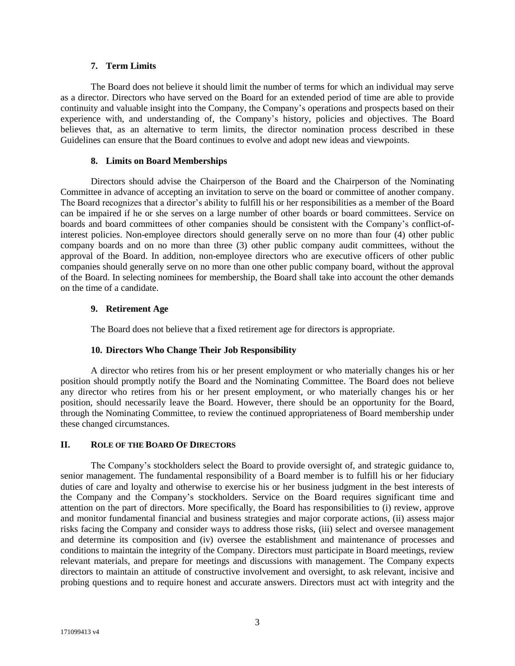### **7. Term Limits**

The Board does not believe it should limit the number of terms for which an individual may serve as a director. Directors who have served on the Board for an extended period of time are able to provide continuity and valuable insight into the Company, the Company's operations and prospects based on their experience with, and understanding of, the Company's history, policies and objectives. The Board believes that, as an alternative to term limits, the director nomination process described in these Guidelines can ensure that the Board continues to evolve and adopt new ideas and viewpoints.

## **8. Limits on Board Memberships**

Directors should advise the Chairperson of the Board and the Chairperson of the Nominating Committee in advance of accepting an invitation to serve on the board or committee of another company. The Board recognizes that a director's ability to fulfill his or her responsibilities as a member of the Board can be impaired if he or she serves on a large number of other boards or board committees. Service on boards and board committees of other companies should be consistent with the Company's conflict-ofinterest policies. Non-employee directors should generally serve on no more than four (4) other public company boards and on no more than three (3) other public company audit committees, without the approval of the Board. In addition, non-employee directors who are executive officers of other public companies should generally serve on no more than one other public company board, without the approval of the Board. In selecting nominees for membership, the Board shall take into account the other demands on the time of a candidate.

## **9. Retirement Age**

The Board does not believe that a fixed retirement age for directors is appropriate.

## **10. Directors Who Change Their Job Responsibility**

A director who retires from his or her present employment or who materially changes his or her position should promptly notify the Board and the Nominating Committee. The Board does not believe any director who retires from his or her present employment, or who materially changes his or her position, should necessarily leave the Board. However, there should be an opportunity for the Board, through the Nominating Committee, to review the continued appropriateness of Board membership under these changed circumstances.

#### **II. ROLE OF THE BOARD OF DIRECTORS**

The Company's stockholders select the Board to provide oversight of, and strategic guidance to, senior management. The fundamental responsibility of a Board member is to fulfill his or her fiduciary duties of care and loyalty and otherwise to exercise his or her business judgment in the best interests of the Company and the Company's stockholders. Service on the Board requires significant time and attention on the part of directors. More specifically, the Board has responsibilities to (i) review, approve and monitor fundamental financial and business strategies and major corporate actions, (ii) assess major risks facing the Company and consider ways to address those risks, (iii) select and oversee management and determine its composition and (iv) oversee the establishment and maintenance of processes and conditions to maintain the integrity of the Company. Directors must participate in Board meetings, review relevant materials, and prepare for meetings and discussions with management. The Company expects directors to maintain an attitude of constructive involvement and oversight, to ask relevant, incisive and probing questions and to require honest and accurate answers. Directors must act with integrity and the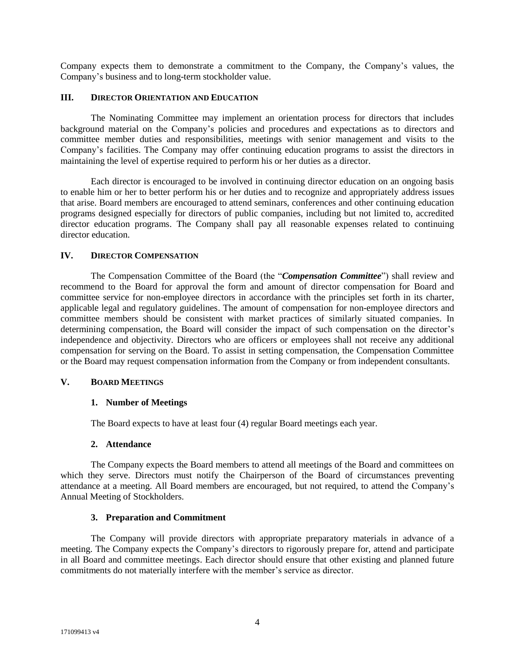Company expects them to demonstrate a commitment to the Company, the Company's values, the Company's business and to long-term stockholder value.

### **III. DIRECTOR ORIENTATION AND EDUCATION**

The Nominating Committee may implement an orientation process for directors that includes background material on the Company's policies and procedures and expectations as to directors and committee member duties and responsibilities, meetings with senior management and visits to the Company's facilities. The Company may offer continuing education programs to assist the directors in maintaining the level of expertise required to perform his or her duties as a director.

Each director is encouraged to be involved in continuing director education on an ongoing basis to enable him or her to better perform his or her duties and to recognize and appropriately address issues that arise. Board members are encouraged to attend seminars, conferences and other continuing education programs designed especially for directors of public companies, including but not limited to, accredited director education programs. The Company shall pay all reasonable expenses related to continuing director education.

#### **IV. DIRECTOR COMPENSATION**

The Compensation Committee of the Board (the "*Compensation Committee*") shall review and recommend to the Board for approval the form and amount of director compensation for Board and committee service for non-employee directors in accordance with the principles set forth in its charter, applicable legal and regulatory guidelines. The amount of compensation for non-employee directors and committee members should be consistent with market practices of similarly situated companies. In determining compensation, the Board will consider the impact of such compensation on the director's independence and objectivity. Directors who are officers or employees shall not receive any additional compensation for serving on the Board. To assist in setting compensation, the Compensation Committee or the Board may request compensation information from the Company or from independent consultants.

#### **V. BOARD MEETINGS**

#### **1. Number of Meetings**

The Board expects to have at least four (4) regular Board meetings each year.

#### **2. Attendance**

The Company expects the Board members to attend all meetings of the Board and committees on which they serve. Directors must notify the Chairperson of the Board of circumstances preventing attendance at a meeting. All Board members are encouraged, but not required, to attend the Company's Annual Meeting of Stockholders.

#### **3. Preparation and Commitment**

The Company will provide directors with appropriate preparatory materials in advance of a meeting. The Company expects the Company's directors to rigorously prepare for, attend and participate in all Board and committee meetings. Each director should ensure that other existing and planned future commitments do not materially interfere with the member's service as director.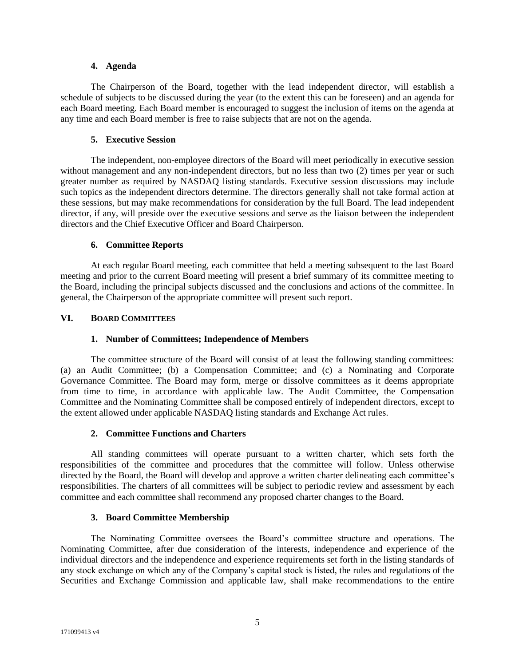### **4. Agenda**

The Chairperson of the Board, together with the lead independent director, will establish a schedule of subjects to be discussed during the year (to the extent this can be foreseen) and an agenda for each Board meeting. Each Board member is encouraged to suggest the inclusion of items on the agenda at any time and each Board member is free to raise subjects that are not on the agenda.

# **5. Executive Session**

The independent, non-employee directors of the Board will meet periodically in executive session without management and any non-independent directors, but no less than two (2) times per year or such greater number as required by NASDAQ listing standards. Executive session discussions may include such topics as the independent directors determine. The directors generally shall not take formal action at these sessions, but may make recommendations for consideration by the full Board. The lead independent director, if any, will preside over the executive sessions and serve as the liaison between the independent directors and the Chief Executive Officer and Board Chairperson.

# **6. Committee Reports**

At each regular Board meeting, each committee that held a meeting subsequent to the last Board meeting and prior to the current Board meeting will present a brief summary of its committee meeting to the Board, including the principal subjects discussed and the conclusions and actions of the committee. In general, the Chairperson of the appropriate committee will present such report.

# **VI. BOARD COMMITTEES**

# **1. Number of Committees; Independence of Members**

The committee structure of the Board will consist of at least the following standing committees: (a) an Audit Committee; (b) a Compensation Committee; and (c) a Nominating and Corporate Governance Committee. The Board may form, merge or dissolve committees as it deems appropriate from time to time, in accordance with applicable law. The Audit Committee, the Compensation Committee and the Nominating Committee shall be composed entirely of independent directors, except to the extent allowed under applicable NASDAQ listing standards and Exchange Act rules.

## **2. Committee Functions and Charters**

All standing committees will operate pursuant to a written charter, which sets forth the responsibilities of the committee and procedures that the committee will follow. Unless otherwise directed by the Board, the Board will develop and approve a written charter delineating each committee's responsibilities. The charters of all committees will be subject to periodic review and assessment by each committee and each committee shall recommend any proposed charter changes to the Board.

## **3. Board Committee Membership**

The Nominating Committee oversees the Board's committee structure and operations. The Nominating Committee, after due consideration of the interests, independence and experience of the individual directors and the independence and experience requirements set forth in the listing standards of any stock exchange on which any of the Company's capital stock is listed, the rules and regulations of the Securities and Exchange Commission and applicable law, shall make recommendations to the entire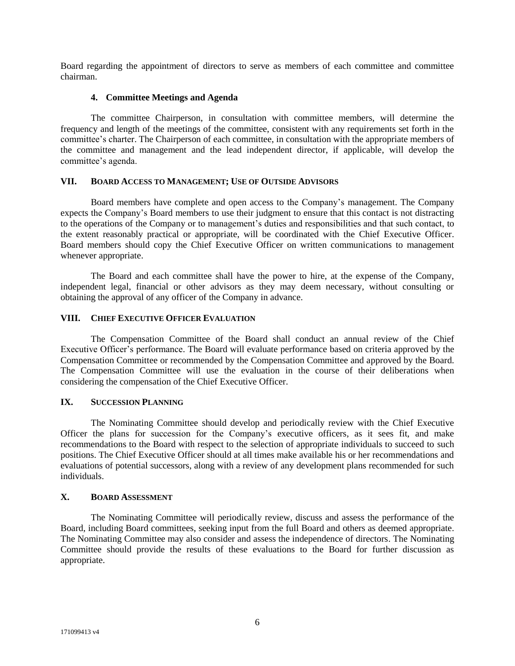Board regarding the appointment of directors to serve as members of each committee and committee chairman.

## **4. Committee Meetings and Agenda**

The committee Chairperson, in consultation with committee members, will determine the frequency and length of the meetings of the committee, consistent with any requirements set forth in the committee's charter. The Chairperson of each committee, in consultation with the appropriate members of the committee and management and the lead independent director, if applicable, will develop the committee's agenda.

## **VII. BOARD ACCESS TO MANAGEMENT; USE OF OUTSIDE ADVISORS**

Board members have complete and open access to the Company's management. The Company expects the Company's Board members to use their judgment to ensure that this contact is not distracting to the operations of the Company or to management's duties and responsibilities and that such contact, to the extent reasonably practical or appropriate, will be coordinated with the Chief Executive Officer. Board members should copy the Chief Executive Officer on written communications to management whenever appropriate.

The Board and each committee shall have the power to hire, at the expense of the Company, independent legal, financial or other advisors as they may deem necessary, without consulting or obtaining the approval of any officer of the Company in advance.

## **VIII. CHIEF EXECUTIVE OFFICER EVALUATION**

The Compensation Committee of the Board shall conduct an annual review of the Chief Executive Officer's performance. The Board will evaluate performance based on criteria approved by the Compensation Committee or recommended by the Compensation Committee and approved by the Board. The Compensation Committee will use the evaluation in the course of their deliberations when considering the compensation of the Chief Executive Officer.

# **IX. SUCCESSION PLANNING**

The Nominating Committee should develop and periodically review with the Chief Executive Officer the plans for succession for the Company's executive officers, as it sees fit, and make recommendations to the Board with respect to the selection of appropriate individuals to succeed to such positions. The Chief Executive Officer should at all times make available his or her recommendations and evaluations of potential successors, along with a review of any development plans recommended for such individuals.

# **X. BOARD ASSESSMENT**

The Nominating Committee will periodically review, discuss and assess the performance of the Board, including Board committees, seeking input from the full Board and others as deemed appropriate. The Nominating Committee may also consider and assess the independence of directors. The Nominating Committee should provide the results of these evaluations to the Board for further discussion as appropriate.